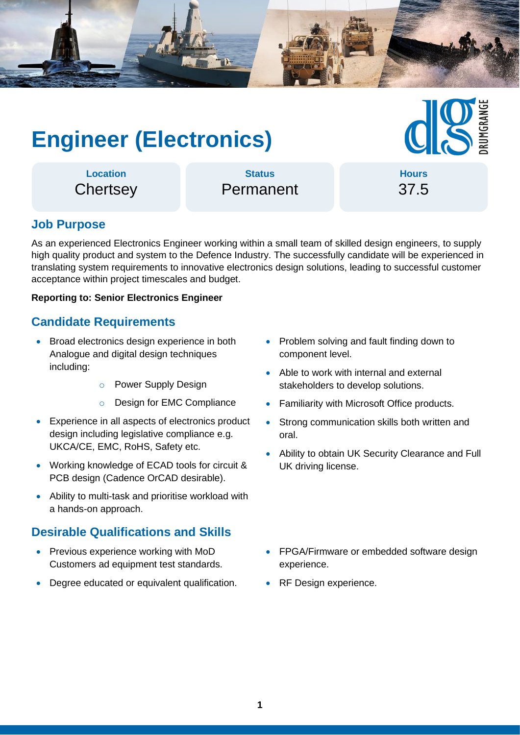

# **Engineer (Electronics)**

**Hours** 37.5

**Location Chertsey** 

Permanent

**Status**

# **Job Purpose**

As an experienced Electronics Engineer working within a small team of skilled design engineers, to supply high quality product and system to the Defence Industry. The successfully candidate will be experienced in translating system requirements to innovative electronics design solutions, leading to successful customer acceptance within project timescales and budget.

#### **Reporting to: Senior Electronics Engineer**

### **Candidate Requirements**

- Broad electronics design experience in both Analogue and digital design techniques including:
	- o Power Supply Design
	- o Design for EMC Compliance
- Experience in all aspects of electronics product design including legislative compliance e.g. UKCA/CE, EMC, RoHS, Safety etc.
- Working knowledge of ECAD tools for circuit & PCB design (Cadence OrCAD desirable).
- Ability to multi-task and prioritise workload with a hands-on approach.

#### **Desirable Qualifications and Skills**

- Previous experience working with MoD Customers ad equipment test standards.
- Degree educated or equivalent qualification.
- Problem solving and fault finding down to component level.
- Able to work with internal and external stakeholders to develop solutions.
- Familiarity with Microsoft Office products.
- Strong communication skills both written and oral.
- Ability to obtain UK Security Clearance and Full UK driving license.
- FPGA/Firmware or embedded software design experience.
- RF Design experience.